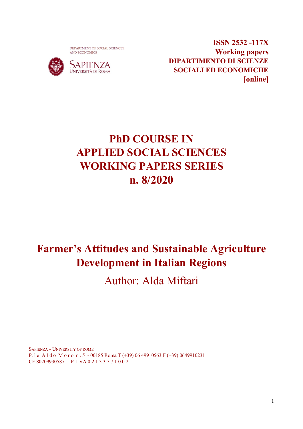DEPARTMENT OF SOCIAL SCIENCES AND ECONOMICS



**ISSN 2532 -117X Working papers DIPARTIMENTO DI SCIENZE SOCIALI ED ECONOMICHE [online]** 

# **PhD COURSE IN APPLIED SOCIAL SCIENCES WORKING PAPERS SERIES n. 8/2020**

# **Farmer's Attitudes and Sustainable Agriculture Development in Italian Regions**

Author: Alda Miftari

SAPIENZA - UNIVERSITY OF ROME P. l e A l d o M o r o n . 5 - 00185 Roma T (+39) 06 49910563 F (+39) 0649910231 CF 80209930587 – P. I VA 0 2 1 3 3 7 7 1 0 0 2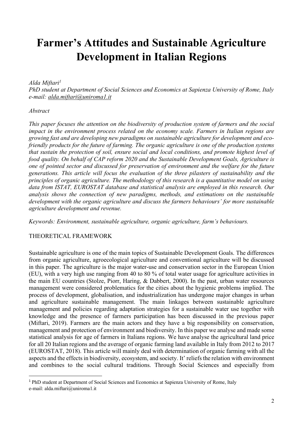### **Farmer's Attitudes and Sustainable Agriculture Development in Italian Regions**

#### *Alda Miftari1*

*PhD student at Department of Social Sciences and Economics at Sapienza University of Rome, Italy e-mail: alda.miftari@uniroma1.it*

#### *Abstract*

*This paper focuses the attention on the biodiversity of production system of farmers and the social impact in the environment process related on the economy scale. Farmers in Italian regions are growing fast and are developing new paradigms on sustainable agriculture for development and ecofriendly products for the future of farming. The organic agriculture is one of the production systems that sustain the protection of soil, ensure social and local conditions, and promote highest level of food quality. On behalf of CAP reform 2020 and the Sustainable Development Goals, Agriculture is one of pointed sector and discussed for preservation of environment and the welfare for the future generations. This article will focus the evaluation of the three pilasters of sustainability and the principles of organic agriculture. The methodology of this research is a quantitative model on using data from ISTAT, EUROSTAT database and statistical analysis are employed in this research. Our analysis shows the connection of new paradigms, methods, and estimations on the sustainable development with the organic agriculture and discuss the farmers behaviours' for more sustainable agriculture development and revenue.*

*Keywords: Environment, sustainable agriculture, organic agriculture, farm's behaviours.*

### THEORETICAL FRAMEWORK

Sustainable agriculture is one of the main topics of Sustainable Development Goals. The differences from organic agriculture, agroecological agriculture and conventional agriculture will be discussed in this paper. The agriculture is the major water-use and conservation sector in the European Union (EU), with a very high use ranging from 40 to 80 % of total water usage for agriculture activities in the main EU countries (Stolze, Piorr, Haring, & Dabbert, 2000). In the past, urban water resources management were considered problematics for the cities about the hygienic problems implied. The process of development, globalisation, and industrialization has undergone major changes in urban and agriculture sustainable management. The main linkages between sustainable agriculture management and policies regarding adaptation strategies for a sustainable water use together with knowledge and the presence of farmers participation has been discussed in the previous paper (Miftari, 2019). Farmers are the main actors and they have a big responsibility on conservation, management and protection of environment and biodiversity. In this paper we analyse and made some statistical analysis for age of farmers in Italians regions. We have analyse the agricultural land price for all 20 Italian regions and the average of organic farming land available in Italy from 2012 to 2017 (EUROSTAT, 2018). This article will mainly deal with determination of organic farming with all the aspects and the effects in biodiversity, ecosystem, and society. It' reliefs the relation with environment and combines to the social cultural traditions. Through Social Sciences and especially from

<sup>&</sup>lt;sup>1</sup> PhD student at Department of Social Sciences and Economics at Sapienza University of Rome, Italy e-mail: alda.miftari@uniroma1.it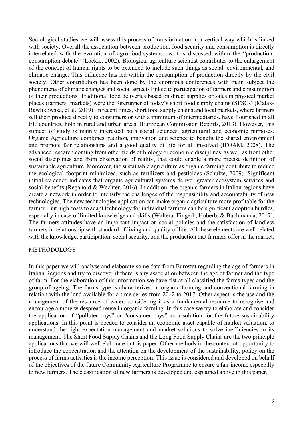Sociological studies we will assess this process of transformation in a vertical way which is linked with society. Overall the association between production, food security and consumption is directly interrelated with the evolution of agro-food-systems, as it is discussed within the "productionconsumption debate" (Lockie, 2002). Biological agriculture scientist contributes to the enlargement of the concept of human rights to be extended to include such things as social, environmental, and climatic change. This influence has led within the consumption of production directly by the civil society. Other contribution has been done by the enormous conferences with main subject the phenomena of climatic changes and social aspects linked to participation of farmers and consumption of their productions. Traditional food deliveries based on direct supplies or sales in physical market places (farmers 'markets) were the forerunner of today's short food supply chains (SFSCs) (Malak-Rawlikowska, et al., 2019). In recent times, short food supply chains and local markets, where farmers sell their produce directly to consumers or with a minimum of intermediaries, have flourished in all EU countries, both in rural and urban areas. (European Commission Reports, 2013). However, this subject of study is mainly interested both social sciences, agricultural and economic purposes. Organic Agriculture combines tradition, innovation and science to benefit the shared environment and promote fair relationships and a good quality of life for all involved (IFOAM, 2008). The advanced research coming from other fields of biology or economic disciplines, as well as from other social disciplines and from observation of reality, that could enable a more precise definition of sustainable agriculture. Moreover, the sustainable agriculture as organic farming contribute to reduce the ecological footprint minimized, such as fertilizers and pesticides (Schulze, 2009). Significant initial evidence indicates that organic agricultural systems deliver greater ecosystem services and social benefits (Reganold & Wachter, 2016). In addition, the organic farmers in Italian regions have create a network in order to intensify the challenges of the responsibility and accountability of new technologies. The new technologies application can make organic agriculture more profitable for the farmer. But high costs to adapt technology for individual farmers can be significant adoption hurdles, especially in case of limited knowledge and skills (Waltera, Fingerb, Huberb, & Buchmanna, 2017). The farmers attitudes have an important impact on social policies and the satisfaction of landless farmers in relationship with standard of living and quality of life. All these elements are well related with the knowledge, participation, social security, and the production that farmers offer in the market.

#### METHODOLOGY

In this paper we will analyse and elaborate some data from Eurostat regarding the age of farmers in Italian Regions and try to discover if there is any association between the age of farmer and the type of farm. For the elaboration of this information we have fist at all classified the farms types and the group of ageing. The farms type is characterized in organic farming and conventional farming in relation with the land available for a time series from 2012 to 2017. Other aspect is the use and the management of the resource of water, considering it as a fundamental resource to recognise and encourage a more widespread reuse in organic farming. In this case we try to elaborate and consider the application of "polluter pays" or "consumer pays" as a solution for the future sustainability applications. In this point is needed to consider an economic asset capable of market valuation, to understand the right expectation management and market solutions to solve inefficiencies in its management. The Short Food Supply Chains and the Long Food Supply Chains are the two principle applications that we will well elaborate in this paper. Other methods in the context of opportunity to introduce the concentration and the attention on the development of the sustainability, policy on the process of farms activities is the income perception. This issue is considered and developed on behalf of the objectives of the future Community Agriculture Programme to ensure a fair income especially to new farmers. The classification of new farmers is developed and explained above in this paper.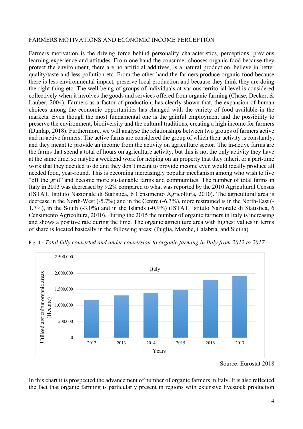#### FARMERS MOTIVATIONS AND ECONOMIC INCOME PERCEPTION

Farmers motivation is the driving force behind personality characteristics, perceptions, previous learning experience and attitudes. From one hand the consumer chooses organic food because they protect the environment, there are no artificial additives, is a natural production, believe in better quality/taste and less pollution etc. From the other hand the farmers produce organic food because there is less environmental impact, preserve local production and because they think they are doing the right thing etc. The well-being of groups of individuals at various territorial level is considered collectively when it involves the goods and services offered from organic farming (Chase, Decker, & Lauber, 2004). Farmers as a factor of production, has clearly shown that, the expansion of human choices among the economic opportunities has changed with the variety of food available in the markets. Even though the most fundamental one is the gainful employment and the possibility to preserve the environment, biodiversity and the cultural traditions, creating a high income for farmers (Dunlap, 2018). Furthermore, we will analyse the relationships between two groups of farmers active and in-active farmers. The active farms are considered the group of which their activity is constantly, and they meant to provide an income from the activity on agriculture sector. The in-active farms are the farms that spend a total of hours on agriculture activity, but this is not the only activity they have at the same time, so maybe a weekend work for helping on an property that they inherit or a part-time work that they decided to do and they don't meant to provide income even would ideally produce all needed food, year-round. This is becoming increasingly popular mechanism among who wish to live "off the grid" and become more sustainable farms and communities. The number of total farms in Italy in 2013 was decreased by 9.2% compared to what was reported by the 2010 Agricultural Census (ISTAT, Istituto Nazionale di Statistica, 6 Censimento Agricoltura, 2010). The agricultural area is decrease in the North-West (-5.7%) and in the Centre (-6.3%), more restrained is in the North-East (- 1.7%), in the South (-3,0%) and in the Islands (-0.9%) (ISTAT, Istituto Nazionale di Statistica, 6 Censimento Agricoltura, 2010). During the 2015 the number of organic farmers in Italy is increasing and shows a positive rate during the time. The organic agriculture area with highest values in terms of share is located basically in the following areas: (Puglia, Marche, Calabria, and Sicilia).



Fig. 1 - *Total fully converted and under conversion to organic farming in Italy from 2012 to 2017.*

In this chart it is prospected the advancement of number of organic farmers in Italy. It is also reflected the fact that organic farming is particularly present in regions with extensive livestock production

Source: Eurostat 2018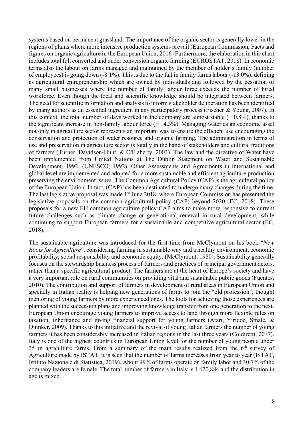systems based on permanent grassland. The importance of the organic sector is generally lower in the regions of plains where more intensive production systems prevail (European Commission, Facts and figures on organic agriculture in the European Union, 2016) Furthermore, the elaboration in this chart includes total full converted and under conversion organic farming (EUROSTAT, 2018). In economic terms also the labour on farms managed and maintained by the member of holder's family (number of employees) is going down (-8.1%). This is due to the fall in family farms labour (-13.0%), defining as agricultural entrepreneurship which are owned by individuals and followed by the cessation of many small businesses where the number of family labour force exceeds the number of hired workforce. Even though the local and scientific knowledge should be integrated between farmers. The need for scientific information and analysis to inform stakeholder deliberation has been identified by many authors as an essential ingredient in any participatory process (Fischer & Young, 2007). In this context, the total number of days worked in the company are almost stable  $(+ 0.8\%)$ , thanks to the significant increase in non-family labour force  $(+ 14.3\%)$ . Managing water as an economic asset not only in agriculture sector represents an important way to ensure the efficient use encouraging the conservation and protection of water resource and organic farming. The administration in terms of use and preservation in agriculture sector is totally in the hand of stakeholders and cultural traditions of farmers (Turner, Davidson-Hunt, & O'Flaherty, 2003). The law and the directive of Water have been implemented from United Nations at The Dublin Statement on Water and Sustainable Development, 1992, (UNESCO, 1992). Other Assessments and Agreements in international and global level are implemented and adopted for a more sustainable and efficient agriculture production preserving the environment issues. The Common Agricultural Policy (CAP) is the agricultural policy of the European Union. In fact, (CAP) has been destinated to undergo many changes during the time. The last legislative proposal was made 1<sup>st</sup> June 2018, where European Commission has presented the legislative proposals on the common agricultural policy (CAP) beyond 2020 (EC, 2018). These proposals for a new EU common agriculture policy CAP aims to make more responsive to current future challenges such as climate change or generational renewal in rural development, while continuing to support European farmers for a sustainable and competitive agricultural sector (EC, 2018).

The sustainable agriculture was introduced for the first time from McClymont on his book "*New Roots for Agriculture*", considering farming in sustainable way and a healthy environment, economic profitability, social responsibility and economic equity, (McClymont, 1980). Sustainability generally focuses on the stewardship business process of farmers and practices of principal government actors, rather than a specific agricultural product. The farmers are at the heart of Europe's society and have a very important role on rural communities on providing vital and sustainable public goods (Fuentes, 2010). The contribution and support of farmers in development of rural areas in European Union and specially in Italian reality is helping new generations of farms to join the "old profession", thought mentoring of young farmers by more experienced ones. The tools for achieving those experiences are planned with the succession plans and improving knowledge transfer from one generation to the next. European Union encourage young farmers to improve access to land through more flexible rules on taxation, inheritance and giving financial support for young farmers (Atari, Yiridoe, Smale, & Duinker, 2009). Thanks to this initiative and the revival of young Italian farmers the number of young farmers it has been considerably increased in Italian regions in the last three years (Coldiretti, 2017). Italy is one of the highest countries in European Union level for the number of young people under 35 in agriculture farms. From a summary of the main results realized from the  $6<sup>th</sup>$  survey of Agriculture made by ISTAT, it is seen that the number of farms increases from year to year (ISTAT, Istituto Nazionale di Statistica, 2019). About 99% of farms operate on family labor and 30.7% of the company leaders are female. The total number of farmers in Italy is 1,620,884 and the distribution in age is mixed.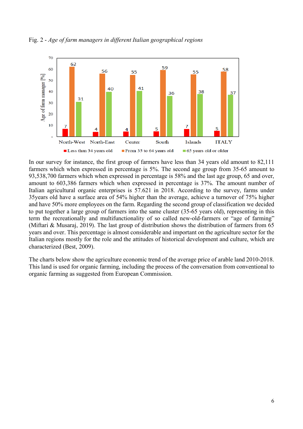

Fig. 2 - *Age of farm managers in different Italian geographical regions*

In our survey for instance, the first group of farmers have less than 34 years old amount to 82,111 farmers which when expressed in percentage is 5%. The second age group from 35-65 amount to 93,538,700 farmers which when expressed in percentage is 58% and the last age group, 65 and over, amount to 603,386 farmers which when expressed in percentage is 37%. The amount number of Italian agricultural organic enterprises is 57.621 in 2018. According to the survey, farms under 35years old have a surface area of 54% higher than the average, achieve a turnover of 75% higher and have 50% more employees on the farm. Regarding the second group of classification we decided to put together a large group of farmers into the same cluster (35-65 years old), representing in this term the recreationally and multifunctionality of so called new-old-farmers or "age of farming" (Miftari & Musaraj, 2019). The last group of distribution shows the distribution of farmers from 65 years and over. This percentage is almost considerable and important on the agriculture sector for the Italian regions mostly for the role and the attitudes of historical development and culture, which are characterized (Best, 2009).

The charts below show the agriculture economic trend of the average price of arable land 2010-2018. This land is used for organic farming, including the process of the conversation from conventional to organic farming as suggested from European Commission.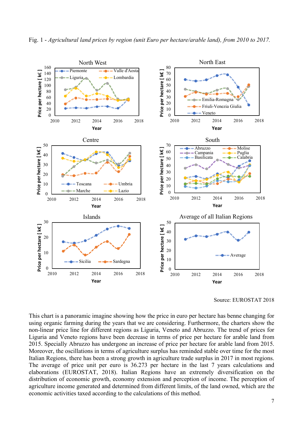

Source: EUROSTAT 2018

This chart is a panoramic imagine showing how the price in euro per hectare has benne changing for using organic farming during the years that we are considering. Furthermore, the charters show the non-linear price line for different regions as Liguria, Veneto and Abruzzo. The trend of prices for Liguria and Veneto regions have been decrease in terms of price per hectare for arable land from 2015. Specially Abruzzo has undergone an increase of price per hectare for arable land from 2015. Moreover, the oscillations in terms of agriculture surplus has reminded stable over time for the most Italian Regions, there has been a strong growth in agriculture trade surplus in 2017 in most regions. The average of price unit per euro is 36.273 per hectare in the last 7 years calculations and elaborations (EUROSTAT, 2018). Italian Regions have an extremely diversification on the distribution of economic growth, economy extension and perception of income. The perception of agriculture income generated and determined from different limits, of the land owned, which are the economic activities taxed according to the calculations of this method.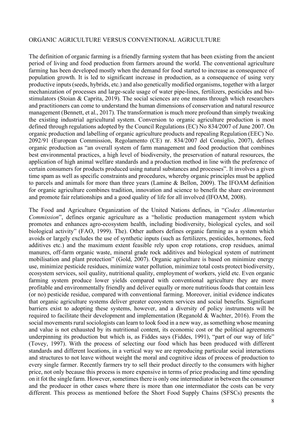#### ORGANIC AGRICULTURE VERSUS CONVENTIONAL AGRICULTURE

The definition of organic farming is a friendly farming system that has been existing from the ancient period of living and food production from farmers around the world. The conventional agriculture farming has been developed mostly when the demand for food started to increase as consequence of population growth. It is led to significant increase in production, as a consequence of using very productive inputs (seeds, hybrids, etc.) and also genetically modified organisms, together with a larger mechanization of processes and large-scale usage of water pipe-lines, fertilizers, pesticides and biostimulators (Stoian & Caprita, 2019). The social sciences are one means through which researchers and practitioners can come to understand the human dimensions of conservation and natural resource management (Bennett, et al., 2017). The transformation is much more profound than simply tweaking the existing industrial agricultural system. Conversion to organic agriculture production is most defined through regulations adopted by the Council Regulations (EC) No 834/2007 of June 2007. On organic production and labelling of organic agriculture products and repealing Regulation (EEC) No. 2092/91 (European Commission, Regolamento (CE) nr. 834/2007 del Consiglio, 2007), defines organic production as "an overall system of farm management and food production that combines best environmental practices, a high level of biodiversity, the preservation of natural resources, the application of high animal welfare standards and a production method in line with the preference of certain consumers for products produced using natural substances and processes". It involves a given time spam as well as specific constraints and procedures, whereby organic principles must be applied to parcels and animals for more than three years (Lamine & Bellon, 2009). The IFOAM definition for organic agriculture combines tradition, innovation and science to benefit the share environment and promote fair relationships and a good quality of life for all involved (IFOAM, 2008).

The Food and Agriculture Organization of the United Nations defines, in "*Codex Alimentarius Commission*", defines organic agriculture as a "holistic production management system which promotes and enhances agro-ecosystem health, including biodiversity, biological cycles, and soil biological activity" (FAO, 1999). The). Other authors defines organic farming as a system which avoids or largely excludes the use of synthetic inputs (such as fertilizers, pesticides, hormones, feed additives etc.) and the maximum extent feasible rely upon crop rotations, crop residues, animal manures, off-farm organic waste, mineral grade rock additives and biological system of nutriment mobilisation and plant protection" (Gold, 2007). Organic agriculture is based on minimize energy use, minimize pesticide residues, minimize water pollution, minimize total costs protect biodiversity, ecosystem services, soil quality, nutritional quality, employment of workers, yield etc. Even organic farming system produce lower yields compared with conventional agriculture they are more profitable and environmentally friendly and deliver equally or more nutritious foods that contain less (or no) pesticide residue, compared with conventional farming. Moreover, initial evidence indicates that organic agriculture systems deliver greater ecosystem services and social benefits. Significant barriers exist to adopting these systems, however, and a diversity of policy instruments will be required to facilitate their development and implementation (Reganold & Wachter, 2016). From the social movements rural sociologists can learn to look food in a new way, as something whose meaning and value is not exhausted by its nutritional content, its economic cost or the political agreements underpinning its production but which is, as Fiddes says (Fiddes, 1991), "part of our way of life" (Tovey, 1997). With the process of selecting our food which has been produced with different standards and different locations, in a vertical way we are reproducing particular social interactions and structures to not leave without weight the moral and cognitive ideas of process of production to every single farmer. Recently farmers try to sell their product directly to the consumers with higher price, not only because this process is more expensive in terms of price producing and time spending on it fot the single farm. However, sometimes there is only one intermediator in between the consumer and the producer in other cases where there is more than one intermediator the costs can be very different. This process as mentioned before the Short Food Supply Chains (SFSCs) presents the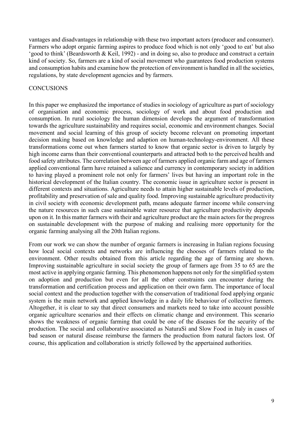vantages and disadvantages in relationship with these two important actors (producer and consumer). Farmers who adopt organic farming aspires to produce food which is not only 'good to eat' but also 'good to think' (Beardsworth & Keil, 1992) - and in doing so, also to produce and construct a certain kind of society. So, farmers are a kind of social movement who guarantees food production systems and consumption habits and examine how the protection of environment is handled in all the societies, regulations, by state development agencies and by farmers.

#### **CONCUSIONS**

In this paper we emphasized the importance of studies in sociology of agriculture as part of sociology of organisation and economic process, sociology of work and about food production and consumption. In rural sociology the human dimension develops the argument of transformation towards the agriculture sustainability and requires social, economic and environment changes. Social movement and social learning of this group of society become relevant on promoting important decision making based on knowledge and adaption on human-technology-environment. All these transformations come out when farmers started to know that organic sector is driven to largely by high income earns than their conventional counterparts and attracted both to the perceived health and food safety attributes. The correlation between age of farmers applied organic farm and age of farmers applied conventional farm have retained a salience and currency in contemporary society in addition to having played a prominent role not only for farmers' lives but having an important role in the historical development of the Italian country. The economic issue in agriculture sector is present in different contexts and situations. Agriculture needs to attain higher sustainable levels of production, profitability and preservation of sale and quality food. Improving sustainable agriculture productivity in civil society with economic development path, means adequate farmer income while conserving the nature resources in such case sustainable water resource that agriculture productivity depends upon on it. In this matter farmers with their and agriculture product are the main actors for the progress on sustainable development with the purpose of making and realising more opportunity for the organic farming analysing all the 20th Italian regions.

From our work we can show the number of organic farmers is increasing in Italian regions focusing how local social contexts and networks are influencing the chooses of farmers related to the environment. Other results obtained from this article regarding the age of farming are shown. Improving sustainable agriculture in social society the group of farmers age from 35 to 65 are the most active in applying organic farming. This phenomenon happens not only for the simplified system on adoption and production but even for all the other constraints can encounter during the transformation and certification process and application on their own farm. The importance of local social context and the production together with the conservation of traditional food applying organic system is the main network and applied knowledge in a daily life behaviour of collective farmers. Altogether, it is clear to say that direct consumers and markets need to take into account possible organic agriculture scenarios and their effects on climatic change and environment. This scenario shows the weakness of organic farming that could be one of the diseases for the security of the production. The social and collaborative associated as NaturaSì and Slow Food in Italy in cases of bad season or natural disease reimburse the farmers the production from natural factors lost. Of course, this application and collaboration is strictly followed by the appertained authorities.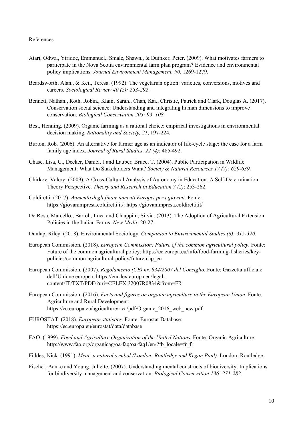#### References

- Atari, Odwa., Yiridoe, Emmanuel., Smale, Shawn., & Duinker, Peter. (2009). What motivates farmers to participate in the Nova Scotia environmental farm plan program? Evidence and environmental policy implications. *Journal Environment Management, 90*, 1269-1279.
- Beardsworth, Alan., & Keil, Teresa. (1992). The vegetarian option: varieties, conversions, motives and careers. *Sociological Review 40 (2): 253-292*.
- Bennett, Nathan., Roth, Robin., Klain, Sarah., Chan, Kai., Christie, Patrick and Clark, Douglas A. (2017). Conservation social science: Understanding and integrating human dimensions to improve conservation. *Biological Conservation 205: 93–108*.
- Best, Henning. (2009). Organic farming as a rational choice: empirical investigations in environmental decision making. *Rationality and Society, 21*, 197-224.
- Burton, Rob. (2006). An alternative for farmer age as an indicator of life-cycle stage: the case for a farm family age index. *Journal of Rural Studies, 22 (4)*: 485-492.
- Chase, Lisa, C., Decker, Daniel, J and Lauber, Bruce, T. (2004). Public Participation in Wildlife Management: What Do Stakeholders Want? *Society & Natural Resources 17 (7): 629-639*.
- Chirkov, Valery. (2009). A Cross-Cultural Analysis of Autonomy in Education: A Self-Determination Theory Perspective. *Theory and Research in Education 7 (2)*: 253-262.
- Coldiretti. (2017). *Aumento degli finanziamenti Europei per i giovani.* Fonte: https://giovanimpresa.coldiretti.it/: https://giovanimpresa.coldiretti.it/
- De Rosa, Marcello., Bartoli, Luca and Chiappini, Silvia. (2013). The Adoption of Agricultural Extension Policies in the Italian Farms. *New Medit*, 20-27.
- Dunlap, Riley. (2018). Environmental Sociology. *Companion to Environmental Studies (6): 315-320*.
- European Commission. (2018). *European Commission: Future of the common agricultural policy*. Fonte: Future of the common agricultural policy: https://ec.europa.eu/info/food-farming-fisheries/keypolicies/common-agricultural-policy/future-cap\_en
- European Commission. (2007). *Regolamento (CE) nr. 834/2007 del Consiglio.* Fonte: Gazzetta ufficiale dell'Unione europea: https://eur-lex.europa.eu/legalcontent/IT/TXT/PDF/?uri=CELEX:32007R0834&from=FR
- European Commission. (2016). *Facts and figures on organic agriculture in the European Union.* Fonte: Agriculture and Rural Development: https://ec.europa.eu/agriculture/rica/pdf/Organic\_2016\_web\_new.pdf
- EUROSTAT. (2018). *European statistics*. Fonte: Eurostat Database: https://ec.europa.eu/eurostat/data/database
- FAO. (1999). *Food and Agriculture Organization of the United Nations.* Fonte: Organic Agriculture: http://www.fao.org/organicag/oa-faq/oa-faq1/en/?fb\_locale=fr\_fr
- Fiddes, Nick. (1991). *Meat: a natural symbol (London: Routledge and Kegan Paul).* London: Routledge.
- Fischer, Aanke and Young, Juliette. (2007). Understanding mental constructs of biodiversity: Implications for biodiversity management and conservation. *Biological Conservation 136: 271-282*.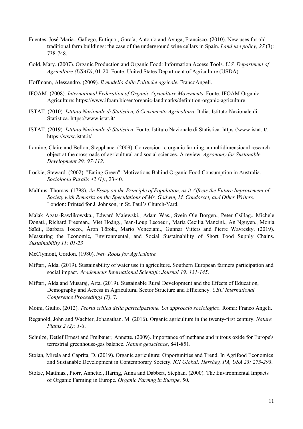- Fuentes, José-Maria., Gallego, Eutiquo., García, Antonio and Ayuga, Francisco. (2010). New uses for old traditional farm buildings: the case of the underground wine cellars in Spain. *Land use policy, 27* (3): 738-748.
- Gold, Mary. (2007). Organic Production and Organic Food: Information Access Tools. *U.S. Department of Agriculture (USAD)*, 01-20. Fonte: United States Department of Agriculture (USDA).
- Hoffmann, Alessandro. (2009). *Il modello delle Politiche agricole.* FrancoAngeli.
- IFOAM. (2008). *International Federation of Organic Agriculture Movements*. Fonte: IFOAM Organic Agriculture: https://www.ifoam.bio/en/organic-landmarks/definition-organic-agriculture
- ISTAT. (2010). *Istituto Nazionale di Statistica, 6 Censimento Agricoltura.* Italia: Istituto Nazionale di Statistica. https://www.istat.it/
- ISTAT. (2019). *Istituto Nazionale di Statistica*. Fonte: Istituto Nazionale di Statistica: https://www.istat.it/: https://www.istat.it/
- Lamine, Claire and Bellon, Stepphane. (2009). Conversion to organic farming: a multidimensioanl research object at the crossroads of agricultural and social sciences. A review. *Agronomy for Sustanable Development 29: 97-112*.
- Lockie, Steward. (2002). "Eating Green": Motivations Bahind Organic Food Consumption in Australia. *Sociologia Ruralis 42 (1):*, 23-40.
- Malthus, Thomas. (1798). *An Essay on the Principle of Population, as it Affects the Future Improvement of Society with Remarks on the Speculations of Mr. Godwin, M. Condorcet, and Other Writers.* London: Printed for J. Johnson, in St. Paul's Church-Yard.

Malak Agata-Rawlikowska., Edward Majewski., Adam Wąs., Svein Ole Borgen., Peter Csillag., Michele Donati., Richard Freeman., Viet Hoàng., Jean-Loup Lecoeur., Maria Cecilia Mancini., An Nguyen., Monia Saïdi., Barbara Tocco., Áron Török., Mario Veneziani., Gunnar Vitters and Pierre Wavresky. (2019). Measuring the Economic, Environmental, and Social Sustainability of Short Food Supply Chains. *Sustainability 11: 01-23*

McClymont, Gordon. (1980). *New Roots for Agriculture.*

- Miftari, Alda. (2019). Sustainability of water use in agriculture. Southern European farmers participation and social impact. *Academicus International Scientific Journal 19: 131-145*.
- Miftari, Alda and Musaraj, Arta. (2019). Sustainable Rural Development and the Effects of Education, Demography and Access in Agricultural Sector Structure and Efficiency. *CBU International Conference Proceedings (7)*, 7.
- Moini, Giulio. (2012). *Teoria critica della partecipazione. Un approccio sociologico.* Roma: Franco Angeli.
- Reganold, John and Wachter, Johanathan. M. (2016). Organic agriculture in the twenty-first century. *Nature Plants 2 (2): 1-8*.
- Schulze, Detlef Ernest and Freibauer, Annette. (2009). Importance of methane and nitrous oxide for Europe's terrestrial greenhouse-gas balance. *Nature geoscience*, 841-851.
- Stoian, Mirela and Caprita, D. (2019). Organic agriculture: Opportunities and Trend. In Agrifood Economics and Sustanable Development in Contemporary Society. *IGI Global: Hershey, PA, USA 23: 275-293*.
- Stolze, Matthias., Piorr, Annette., Haring, Anna and Dabbert, Stephan. (2000). The Environmental Impacts of Organic Farming in Europe. *Organic Farmng in Europe*, 50.